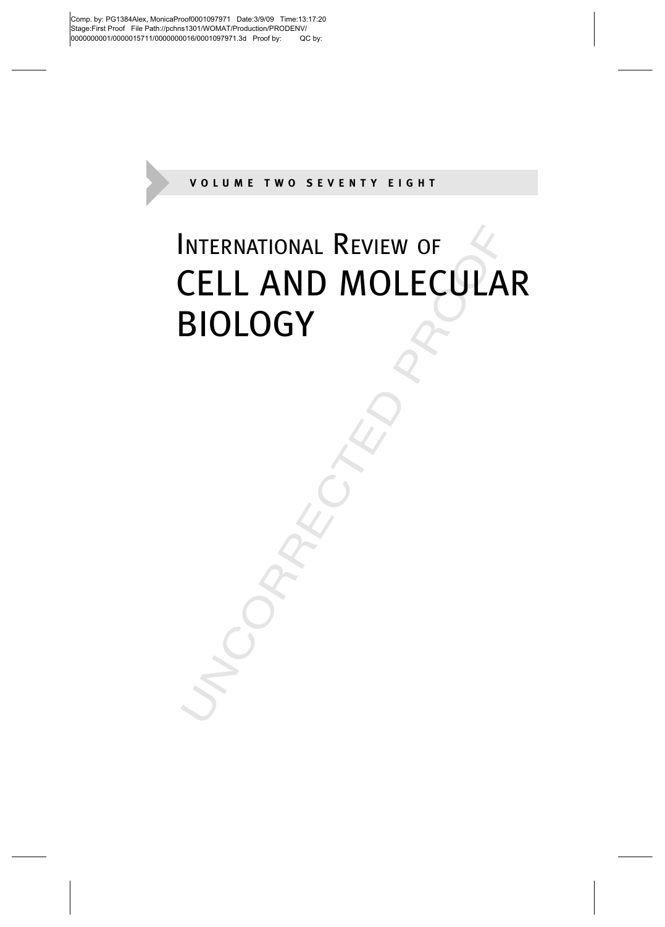### VOLUME TWO SEVENTY EIGHT

UNCORRECTED

# W OF INTERNATIONAL REVIEW OF CELL AND MOLECULAR BIOLOGY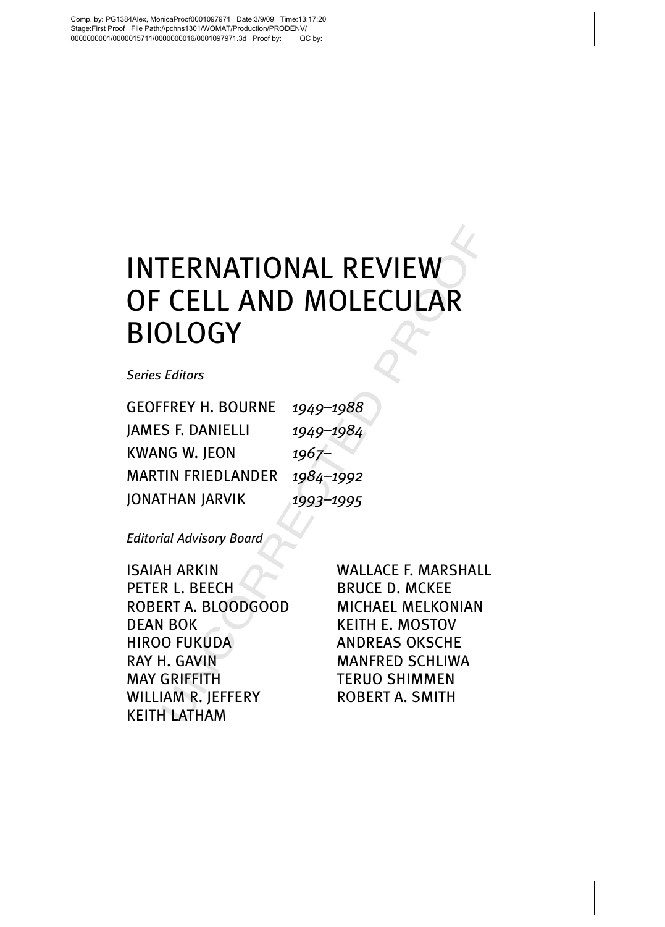# VIEW INTERNATIONAL REVIEW OF CELL AND MOLECULAR BIOLOGY

Series Editors

| <b>GEOFFREY H. BOURNE</b>       | 1949–1988      |
|---------------------------------|----------------|
| <b>JAMES F. DANIELLI</b>        | 1949-1984      |
| <b>KWANG W. JEON</b>            | $1967 -$       |
| <b>MARTIN FRIEDLANDER</b>       | 1984-1992      |
| <b>JONATHAN JARVIK</b>          | 1993-1995      |
| <b>Editorial Advisory Board</b> |                |
| <b>ISAIAH ARKIN</b>             | <b>WALLA</b>   |
| PETER L. BEECH                  | <b>BRUCE</b>   |
| ROBERT A. BLOODGOOD             | <b>MICHAI</b>  |
| <b>DEAN BOK</b>                 | <b>KEITH E</b> |
| <b>HIROO FUKUDA</b>             | <b>ANDRE</b>   |
| RAY H. GAVIN                    | MANFR          |
| <b>MAY GRIFFITH</b>             | <b>TERUO</b>   |
| <b>WILLIAM R. JEFFERY</b>       | <b>ROBER</b>   |
| <b>KEITH LATHAM</b>             |                |
|                                 |                |

PETER L. BEECH BRUCE D. MCKEE ROBERT A. BLOODGOOD MICHAEL MELKONIAN DEAN BOK KEITH E. MOSTOV HIROO FUKUDA ANDREAS OKSCHE RAY H. GAVIN MANERED SCHLIWA MAY GRIFFITH TERUO SHIMMEN WILLIAM R. IEFFERY ROBERT A. SMITH KEITH LATHAM

ISAIAH ARKIN WALLACE F. MARSHALL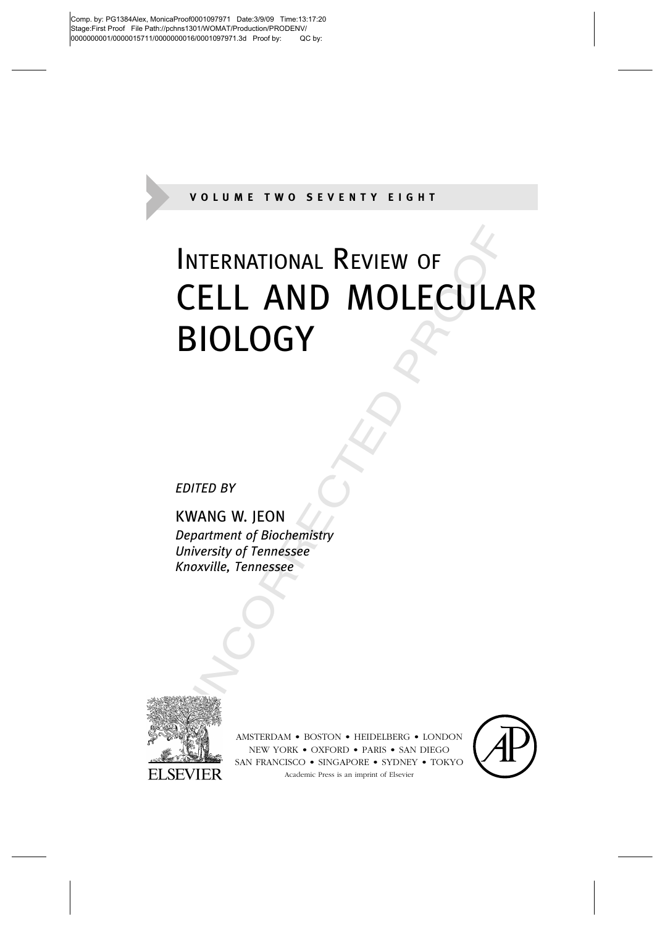### VOLUME TWO SEVENTY EIGHT

# W OF<br>PLECULA INTERNATIONAL REVIEW OF CELL AND MOLECULAR BIOLOGY

EDITED BY

EDITED BY<br>
SWANG W. JEON<br>
Department of Biochemistry<br>
Iniversity of Tennessee<br>
Knoxville, Tennessee<br>
Schoken School<br>
Schoken Schoken<br>
Schoken Schoken<br>
Schoken Schoken<br>
Schoken Schoken<br>
Schoken Schoken<br>
Schoken Schoken<br>
Sch KWANG W. JEON Department of Biochemistry University of Tennessee Knoxville, Tennessee



AMSTERDAM • BOSTON • HEIDELBERG • LONDON NEW YORK • OXFORD • PARIS • SAN DIEGO SAN FRANCISCO • SINGAPORE • SYDNEY • TOKYO Academic Press is an imprint of Elsevier

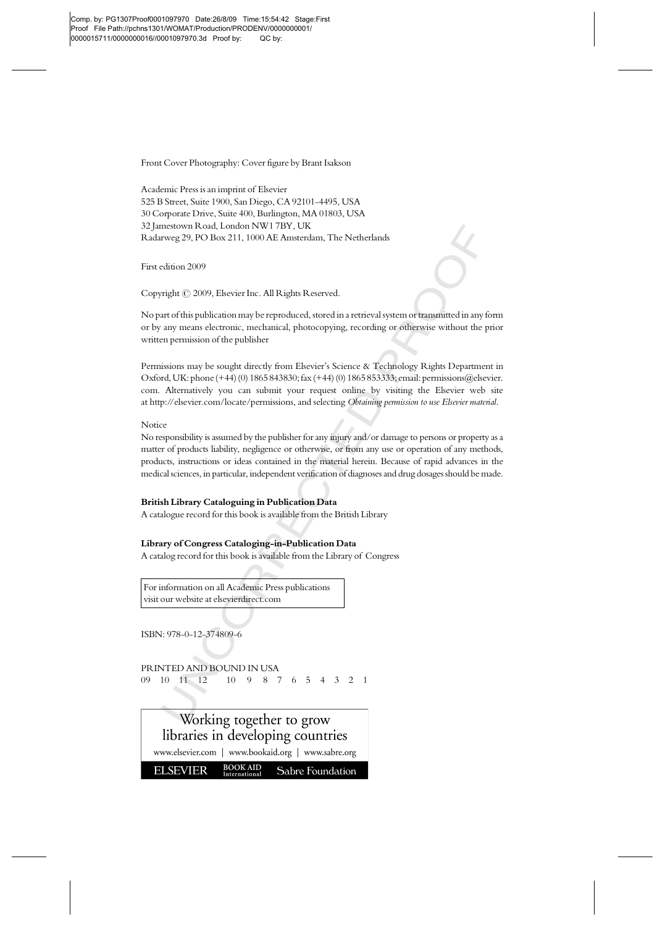Front Cover Photography: Cover figure by Brant Isakson

Academic Press is an imprint of Elsevier 525 B Street, Suite 1900, San Diego, CA 92101-4495, USA 30 Corporate Drive, Suite 400, Burlington, MA 01803, USA 32 Jamestown Road, London NW1 7BY, UK Radarweg 29, PO Box 211, 1000 AE Amsterdam, The Netherlands

First edition 2009

Copyright ( $\odot$  2009, Elsevier Inc. All Rights Reserved.

ands<br>
Val system or transmitted in any thing or otherwise without the p<br>
Technology Rights Departmen<br>
53333; email: permissions@else No part of this publication may be reproduced, stored in a retrieval system or transmitted in any form or by any means electronic, mechanical, photocopying, recording or otherwise without the prior written permission of the publisher

Permissions may be sought directly from Elsevier's Science & Technology Rights Department in Oxford, UK: phone (+44) (0) 1865 843830; fax (+44) (0) 1865 853333; email: permissions@elsevier. com. Alternatively you can submit your request online by visiting the Elsevier web site at http://elsevier.com/locate/permissions, and selecting Obtaining permission to use Elsevier material.

Notice

Alternatively you can submit your request online by<br>p://elsevier.com/locate/permissions, and selecting Obtaining<br>responsibility is assumed by the publisher for any injury and/or dr<br>of products liability, negligence or othe No responsibility is assumed by the publisher for any injury and/or damage to persons or property as a matter of products liability, negligence or otherwise, or from any use or operation of any methods, products, instructions or ideas contained in the material herein. Because of rapid advances in the medical sciences, in particular, independent verification of diagnoses and drug dosages should be made.

A catalogue record for this book is available from the British Library

A catalog record for this book is available from the Library of Congress

For information on all Academic Press publications visit our website at elsevierdirect.com

ISBN: 978-0-12-374809-6

PRINTED AND BOUND IN USA 09 10 11 12 10 9 8 7 6 5 4 3 2 1

libraries in developing countries www.elsevier.com | www.bookaid.org | www.sabre.org **ELSEVIER** BOOK AID Sabre Foundation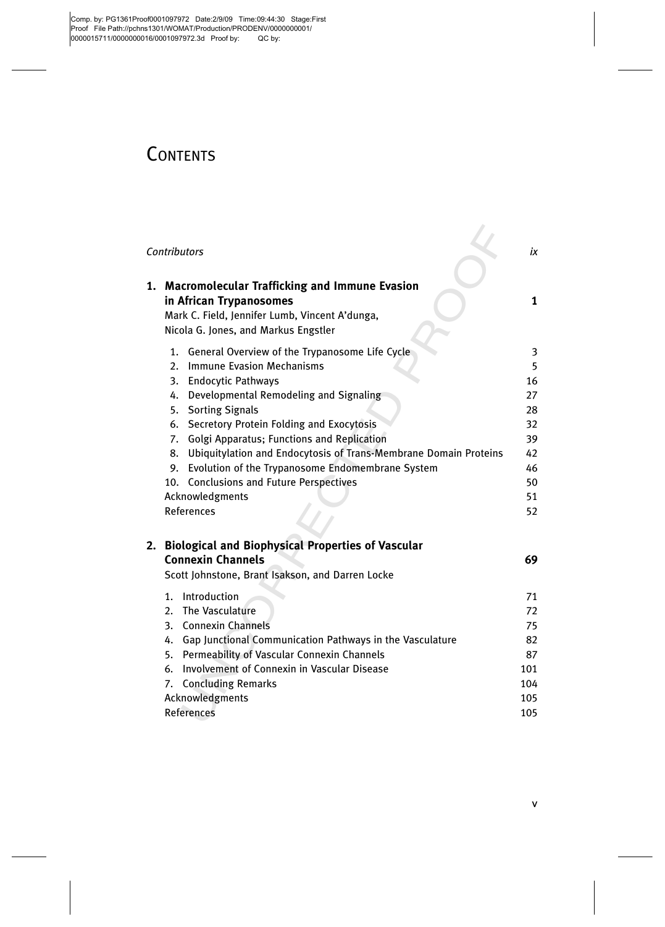Comp. by: PG1361Proof0001097972 Date:2/9/09 Time:09:44:30 Stage:First Proof File Path://pchns1301/WOMAT/Production/PRODENV/0000000001/ 0000015711/0000000016/0001097972.3d Proof by: QC by:

## **CONTENTS**

|    | Contributors                                                                                                                                                              | iх           |
|----|---------------------------------------------------------------------------------------------------------------------------------------------------------------------------|--------------|
| 1. | <b>Macromolecular Trafficking and Immune Evasion</b><br>in African Trypanosomes<br>Mark C. Field, Jennifer Lumb, Vincent A'dunga,<br>Nicola G. Jones, and Markus Engstler | 1            |
|    | General Overview of the Trypanosome Life Cycle<br>1.<br><b>Immune Evasion Mechanisms</b><br>2.<br>3.<br><b>Endocytic Pathways</b>                                         | 3<br>5<br>16 |
|    | Developmental Remodeling and Signaling<br>4.                                                                                                                              | 27           |
|    | <b>Sorting Signals</b><br>5.<br>6. Secretory Protein Folding and Exocytosis                                                                                               | 28<br>32     |
|    | 7. Golgi Apparatus; Functions and Replication                                                                                                                             | 39           |
|    | Ubiquitylation and Endocytosis of Trans-Membrane Domain Proteins<br>8.                                                                                                    | 42           |
|    | Evolution of the Trypanosome Endomembrane System<br>9.                                                                                                                    | 46           |
|    | 10. Conclusions and Future Perspectives                                                                                                                                   | 50           |
|    | Acknowledgments                                                                                                                                                           | 51           |
|    | <b>References</b>                                                                                                                                                         | 52           |
|    | 2. Biological and Biophysical Properties of Vascular<br><b>Connexin Channels</b><br>Scott Johnstone, Brant Isakson, and Darren Locke                                      | 69           |
|    | Introduction<br>$\mathbf{1}$ .                                                                                                                                            | 71           |
|    | 2. The Vasculature                                                                                                                                                        | 72           |
|    | 3. Connexin Channels                                                                                                                                                      | 75           |
|    | 4. Gap Junctional Communication Pathways in the Vasculature                                                                                                               | 82           |
|    | 5. Permeability of Vascular Connexin Channels                                                                                                                             | 87           |
|    | Involvement of Connexin in Vascular Disease<br>6.                                                                                                                         | 101          |
|    | 7. Concluding Remarks                                                                                                                                                     | 104          |
|    | Acknowledgments                                                                                                                                                           | 105          |
|    | <b>References</b>                                                                                                                                                         | 105          |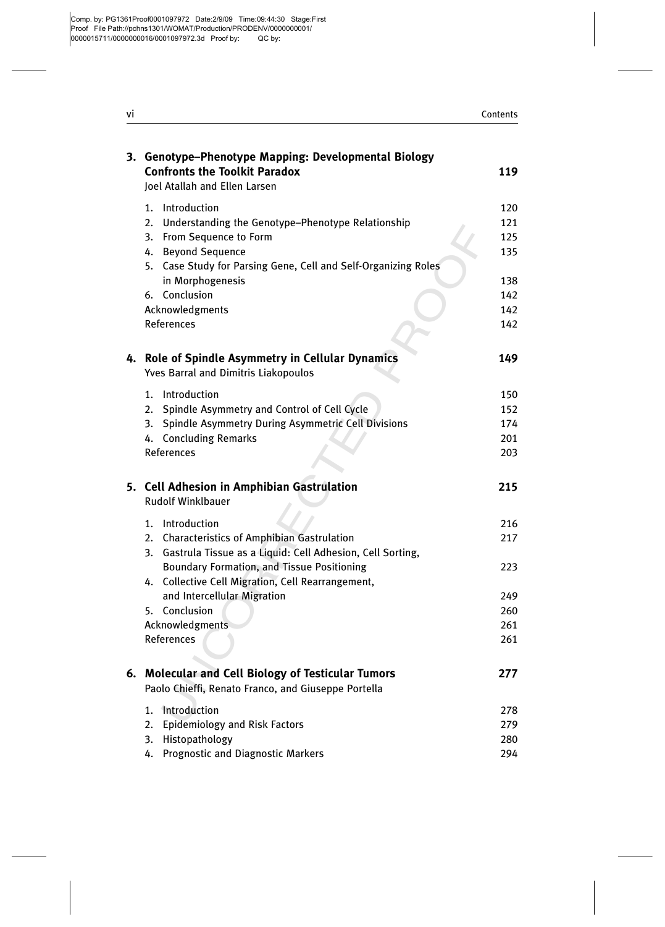| ٧I |                                                                                                                               | Contents |
|----|-------------------------------------------------------------------------------------------------------------------------------|----------|
|    | 3. Genotype-Phenotype Mapping: Developmental Biology<br><b>Confronts the Toolkit Paradox</b><br>Joel Atallah and Ellen Larsen |          |
|    | 1.<br>Introduction                                                                                                            | 120      |
|    | Understanding the Genotype-Phenotype Relationship<br>2.                                                                       | 121      |
|    | From Sequence to Form<br>3.                                                                                                   | 125      |
|    | <b>Beyond Sequence</b><br>4.                                                                                                  | 135      |
|    | Case Study for Parsing Gene, Cell and Self-Organizing Roles<br>5.                                                             |          |
|    | in Morphogenesis                                                                                                              | 138      |
|    | 6. Conclusion                                                                                                                 | 142      |
|    | Acknowledgments                                                                                                               | 142      |
|    | References                                                                                                                    | 142      |
|    | 4. Role of Spindle Asymmetry in Cellular Dynamics<br>Yves Barral and Dimitris Liakopoulos                                     | 149      |
|    | 1.<br>Introduction                                                                                                            | 150      |
|    | Spindle Asymmetry and Control of Cell Cycle<br>2.                                                                             | 152      |
|    | Spindle Asymmetry During Asymmetric Cell Divisions<br>3.                                                                      | 174      |
|    | <b>Concluding Remarks</b><br>4.                                                                                               | 201      |
|    | <b>References</b>                                                                                                             | 203      |
|    | 5. Cell Adhesion in Amphibian Gastrulation<br><b>Rudolf Winklbauer</b>                                                        | 215      |
|    | Introduction<br>1.                                                                                                            | 216      |
|    | Characteristics of Amphibian Gastrulation<br>2.                                                                               | 217      |
|    | Gastrula Tissue as a Liquid: Cell Adhesion, Cell Sorting,<br>3.                                                               |          |
|    | Boundary Formation, and Tissue Positioning                                                                                    | 223      |
|    | Collective Cell Migration, Cell Rearrangement,<br>4.                                                                          |          |
|    | and Intercellular Migration                                                                                                   | 249      |
|    | 5. Conclusion                                                                                                                 | 260      |
|    | Acknowledgments                                                                                                               | 261      |
|    | <b>References</b>                                                                                                             | 261      |
|    | 6. Molecular and Cell Biology of Testicular Tumors<br>Paolo Chieffi, Renato Franco, and Giuseppe Portella                     | 277      |
|    | Introduction<br>1.                                                                                                            | 278      |
|    | <b>Epidemiology and Risk Factors</b><br>2.                                                                                    | 279      |
|    | Histopathology<br>3.                                                                                                          | 280      |
|    | Prognostic and Diagnostic Markers<br>4.                                                                                       | 294      |
|    |                                                                                                                               |          |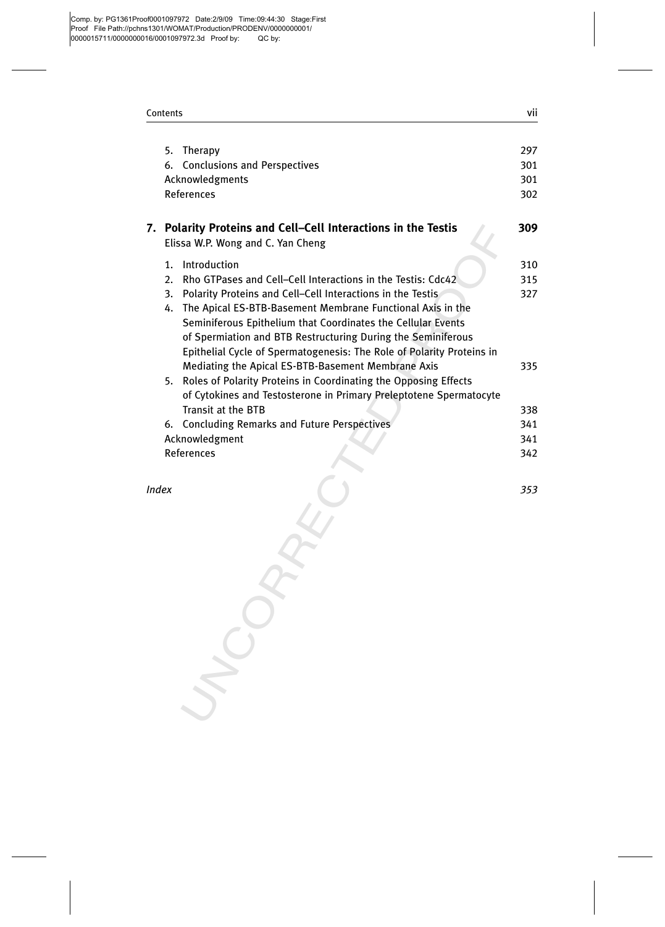Comp. by: PG1361Proof0001097972 Date:2/9/09 Time:09:44:30 Stage:First Proof File Path://pchns1301/WOMAT/Production/PRODENV/0000000001/ 0000015711/0000000016/0001097972.3d Proof by: QC by:

|       | Contents                                                                                                                                                                                             | vii        |
|-------|------------------------------------------------------------------------------------------------------------------------------------------------------------------------------------------------------|------------|
|       |                                                                                                                                                                                                      |            |
|       | 5. Therapy<br>6. Conclusions and Perspectives                                                                                                                                                        | 297<br>301 |
|       | Acknowledgments                                                                                                                                                                                      | 301        |
|       | References                                                                                                                                                                                           | 302        |
|       |                                                                                                                                                                                                      |            |
|       | 7. Polarity Proteins and Cell-Cell Interactions in the Testis<br>Elissa W.P. Wong and C. Yan Cheng                                                                                                   | 309        |
|       | Introduction<br>1.                                                                                                                                                                                   | 310        |
|       | Rho GTPases and Cell–Cell Interactions in the Testis: Cdc42<br>2.                                                                                                                                    | 315        |
|       | 3.<br>Polarity Proteins and Cell-Cell Interactions in the Testis<br>The Apical ES-BTB-Basement Membrane Functional Axis in the<br>4.<br>Seminiferous Epithelium that Coordinates the Cellular Events | 327        |
|       | of Spermiation and BTB Restructuring During the Seminiferous                                                                                                                                         |            |
|       | Epithelial Cycle of Spermatogenesis: The Role of Polarity Proteins in<br>Mediating the Apical ES-BTB-Basement Membrane Axis                                                                          | 335        |
|       | 5. Roles of Polarity Proteins in Coordinating the Opposing Effects                                                                                                                                   |            |
|       | of Cytokines and Testosterone in Primary Preleptotene Spermatocyte                                                                                                                                   |            |
|       | Transit at the BTB                                                                                                                                                                                   | 338        |
|       | 6. Concluding Remarks and Future Perspectives                                                                                                                                                        | 341        |
|       | Acknowledgment                                                                                                                                                                                       | 341        |
|       | <b>References</b>                                                                                                                                                                                    | 342        |
|       |                                                                                                                                                                                                      |            |
| Index |                                                                                                                                                                                                      | 353        |
|       |                                                                                                                                                                                                      |            |
|       |                                                                                                                                                                                                      |            |
|       |                                                                                                                                                                                                      |            |
|       |                                                                                                                                                                                                      |            |
|       |                                                                                                                                                                                                      |            |
|       |                                                                                                                                                                                                      |            |
|       |                                                                                                                                                                                                      |            |
|       |                                                                                                                                                                                                      |            |
|       |                                                                                                                                                                                                      |            |
|       |                                                                                                                                                                                                      |            |
|       |                                                                                                                                                                                                      |            |
|       |                                                                                                                                                                                                      |            |
|       |                                                                                                                                                                                                      |            |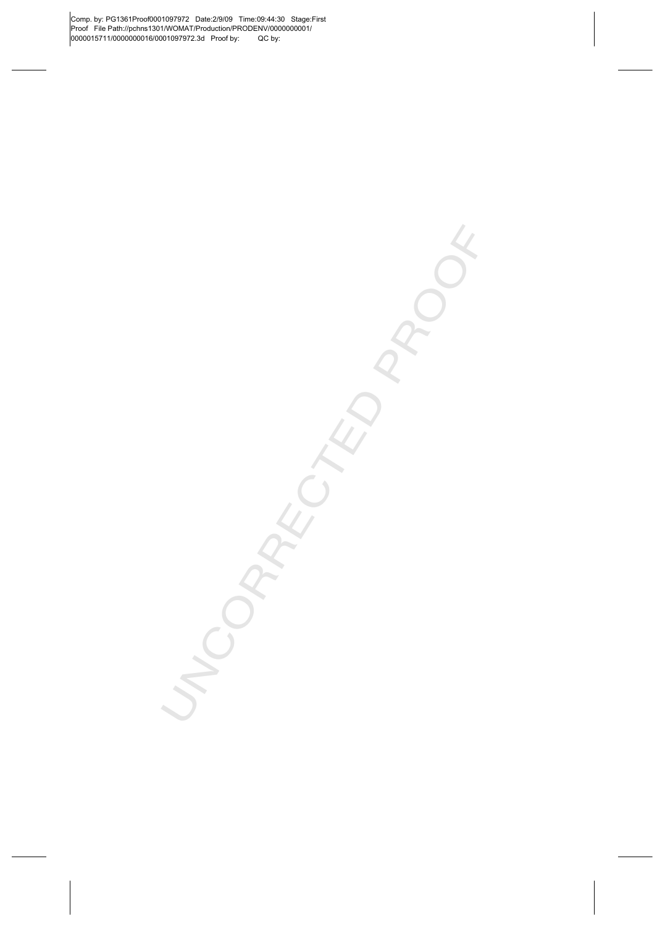Comp. by: PG1361Proof0001097972 Date:2/9/09 Time:09:44:30 Stage:First Proof File Path://pchns1301/WOMAT/Production/PRODENV/0000000001/ 0000015711/0000000016/0001097972.3d Proof by: QC by:

> NCORRECTED P. PROOF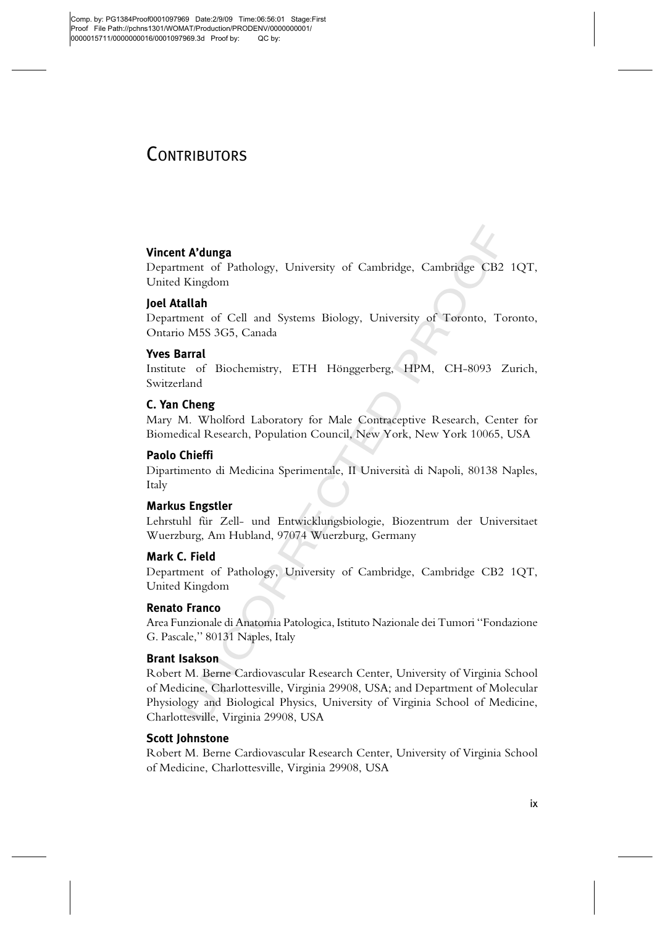Comp. by: PG1384Proof0001097969 Date:2/9/09 Time:06:56:01 Stage:First Proof File Path://pchns1301/WOMAT/Production/PRODENV/0000000001/ 0000015711/0000000016/0001097969.3d Proof by: QC by:

### **CONTRIBUTORS**

#### Vincent A'dunga

idge, Cambridge CB2<br>
versity of Toronto, To<br>
HPM, CH-8093 Z Department of Pathology, University of Cambridge, Cambridge CB2 1QT, United Kingdom

#### Joel Atallah

Department of Cell and Systems Biology, University of Toronto, Toronto, Ontario M5S 3G5, Canada

#### Yves Barral

Institute of Biochemistry, ETH Hönggerberg, HPM, CH-8093 Zurich, Switzerland

#### C. Yan Cheng

Mary M. Wholford Laboratory for Male Contraceptive Research, Center for Biomedical Research, Population Council, New York, New York 10065, USA

#### Paolo Chieffi

Dipartimento di Medicina Sperimentale, II Universita` di Napoli, 80138 Naples, Italy

#### Markus Engstler

Lehrstuhl für Zell- und Entwicklungsbiologie, Biozentrum der Universitaet Wuerzburg, Am Hubland, 97074 Wuerzburg, Germany

#### Mark C. Field

Department of Pathology, University of Cambridge, Cambridge CB2 1QT, United Kingdom

#### Renato Franco

Area Funzionale di Anatomia Patologica, Istituto Nazionale dei Tumori ''Fondazione G. Pascale,'' 80131 Naples, Italy

#### Brant Isakson

**Cheng**<br>
M. Wholford Laboratory for Male Contracep<br>
dical Research, Population Council, New York<br> **Chieffi**<br>
mento di Medicina Sperimentale, II Universit<br>
s<br> **Supplier**<br> **Supplier**<br>
the fürntle Zell- und Entwicklungsbiolog Robert M. Berne Cardiovascular Research Center, University of Virginia School of Medicine, Charlottesville, Virginia 29908, USA; and Department of Molecular Physiology and Biological Physics, University of Virginia School of Medicine, Charlottesville, Virginia 29908, USA

#### Scott Johnstone

Robert M. Berne Cardiovascular Research Center, University of Virginia School of Medicine, Charlottesville, Virginia 29908, USA